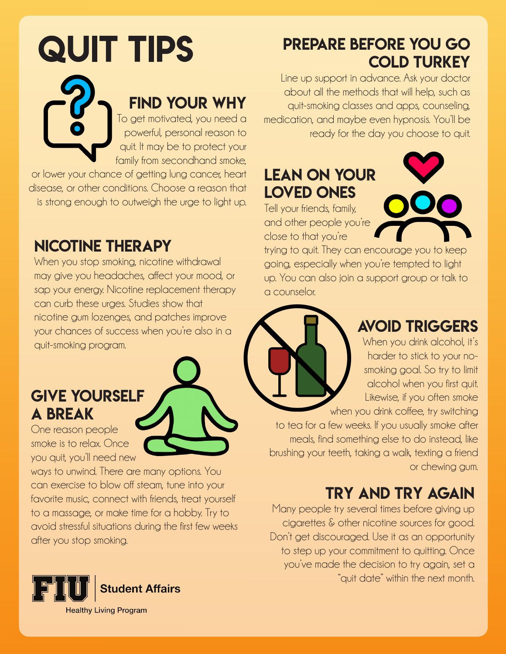# **QUIT TIPS** find your why To get motivated, you need a powerful, personal reason to quit. It may be to protect your family from secondhand smoke,

or lower your chance of getting lung cancer, heart disease, or other conditions. Choose a reason that is strong enough to outweigh the urge to light up.

#### nicotine therapy

When you stop smoking, nicotine withdrawal may give you headaches, affect your mood, or sap your energy. Nicotine replacement therapy can curb these urges. Studies show that nicotine gum lozenges, and patches improve your chances of success when you're also in a quit-smoking program.

#### Give yourself a break

One reason people smoke is to relax. Once you quit, you'll need new

ways to unwind. There are many options. You can exercise to blow off steam, tune into your favorite music, connect with friends, treat yourself to a massage, or make time for a hobby. Try to avoid stressful situations during the first few weeks after you stop smoking.



#### prepare before you go **COLD TURKEY**

Line up support in advance. Ask your doctor about all the methods that will help, such as quit-smoking classes and apps, counseling, medication, and maybe even hypnosis. You'll be ready for the day you choose to quit.

# Lean on your loved ones

Tell your friends, family, and other people you're close to that you're

trying to quit. They can encourage you to keep going, especially when you're tempted to light up. You can also join a support group or talk to a counselor.



#### Avoid triggers

When you drink alcohol, it's harder to stick to your nosmoking goal. So try to limit alcohol when you first quit. Likewise, if you often smoke

when you drink coffee, try switching to tea for a few weeks. If you usually smoke after meals, find something else to do instead, like brushing your teeth, taking a walk, texting a friend or chewing gum.

# Try and try again

Many people try several times before giving up cigarettes & other nicotine sources for good. Don't get discouraged. Use it as an opportunity to step up your commitment to quitting. Once you've made the decision to try again, set a "quit date" within the next month.